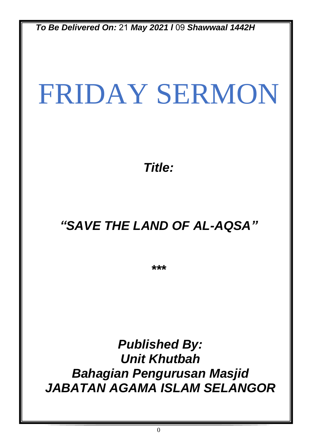*To Be Delivered On:* 21 *May 2021 l* 09 *Shawwaal 1442H*

# FRIDAY SERMON

*Title:*

## *"SAVE THE LAND OF AL-AQSA"*

*\*\*\**

*Published By: Unit Khutbah Bahagian Pengurusan Masjid JABATAN AGAMA ISLAM SELANGOR*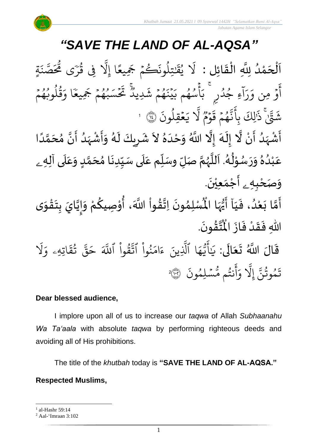# *"SAVE THE LAND OF AL-AQSA"*

ْ<br>م اَلْحَمْدُ لِلَّهِ الْقَائِلِ : لَا يُقَتِلُونَكُمْ جَمِيعًا إِلَّا فِى قُرَى مُّحَصَّنَةٍ  $\overline{\phantom{a}}$ ֦֧<sup>֟</sup>  $\mathbf{r}$ ن<br>ا<br>ا و<br>و  $\frac{1}{2}$ ْ ن ىر<br>م سَ<br><mark>ص</mark>د و<br>مر<br>هر ى ُّم ِ<br>ہمبر<br>پ ر ِِف ق و<br>پيد ب<br>ا َِل ا إ  $\frac{2}{\pi}$ ڭمْ جَمِيعً  $\frac{1}{2}$ و ا تِلوذَ و<br>ا َٰ ا يقذ و<br>د ا َل  $\frac{1}{2}$ قلوبُهُم و<br>م و<br>د و<br>ا و<br>پيد بر ا و  $\ddot{\phantom{0}}$ يَ<br>تَحْسَبُهُمْ جَمِيعَ  $\frac{1}{2}$ و<br>م ُ  $\frac{1}{2}$ نځ ج<br>وو ِديد الأ ۇ ئىقى<br>ھەتم نىش  $\frac{1}{2}$ و ا ج<br>بيذ ؚ<br>ۣ ا أسهم بَ و و<br>. ہ<br>م ا ءِ جُڏُر<sub>ِ</sub> بَـِ و<br>ا و .<br>آ ا ر ا ِمن و و  $rac{1}{2}$ ا<br>ع أ ا ون قِل ع و<br>ا  $\frac{1}{2}$ ا ي ب<br>ا َل وو<br>ھ ووو<br>وم  $\frac{1}{2}$ ا ء ۽<br>ھم ق  $\frac{1}{2}$ و<br>م ا<br>به<br>۱ ن ا<br>ع ِأ ب لِكا ا َٰ ذ ٰۚ ا<br>ا اء ۊٞڹؖ ا به شَتَّىٰ ذَٰلِكَ بِانَّهُمْ قَوۡمٌ لَا يَعۡقِلُونَ ۞ ٱ

ا<br>الم َّل ن أ د ه ش أ إ ه ل َِّل إ ا د م حَ م ن أ د ه ش أ و ه ل يكَ ر ش َّل ه د حْ و َّللا ا ُ ំ<br>• ر<br>پنج و<br>ا  $\frac{1}{2}$ ْ ِ<br>پ  $\frac{1}{2}$ ે<br>ત ں<br>نہ ا<br>الم ً<br>ا ن<br>م  $\frac{1}{\lambda}$ ا<br>م<br>•  $\sum_{i=1}^{n}$ و<br>ا ر<br>زار ْ  $\frac{1}{2}$  $\tilde{\cdot}$ ر<br>ر<br>ا َ ِ  $\ddot{\phantom{0}}$  $\lambda$  $\frac{2}{\lambda}$ ِ<br>ا  $\frac{1}{2}$ عَبْدُهُ وَرَسُوْلُهُ. اَللَّهُمَّ صَلِّ وسَلِّم عَلَى سَيِّدِنَا مُحَمَّدٍ وَعَلَى آلِهِ ـ ً<br>آ ِ<br>م  $\tilde{\cdot}$ <u>لم</u> ر<br>آ ๋<br>ጎ  $\ddot{\phantom{0}}$  $\frac{1}{1}$  $\overline{\mathbf{1}}$ ِ<br>م ĭ انہ<br>م ر<br>ر<br>ر نز<br>آ ً<br>آ .<br>لم ُ ់<br>្ و<br>م  $\ddot{\phantom{0}}$  $\tilde{\cdot}$  $\frac{1}{2}$ و<br>ا ْ .<br>م و*َص<sub>َ</sub>حْبِهِ <sub>ۦ</sub>* أَجْمَعِيْنَ. ْ  $\ddot{\phantom{0}}$ ់<br>(  $\tilde{\mathbf{a}}$  $\tilde{\mathbf{r}}$ 

- آ ي ، ف د ع ا ب م أ َّللا اَ وا ق ِات ون ِم ل سْ ُْ  $\frac{1}{1}$  $\ddot{\cdot}$ ُ<br>و ំ<br>រ  $\ddot{\cdot}$ ี<br>วั َ ֦֧֦֧֦ **ٍ** ا<br>به<br>:  $\ddot{\phantom{0}}$ ›<br>ለ أَيُّهَا الْمُسْلِمُونَ اِتَّقُواْ اللَّهَ، أُوْصِيكُمْ وَإِيَّايَ بِتَقْوَى ِ<br>اس ُ<br>ُمُ  $\tilde{\mathbf{z}}$  $\frac{1}{2}$ ֦֧<u>֦</u>  $\ddot{\phantom{0}}$ **ٍ**<br>-ا<br>ا  $\frac{1}{2}$  $\tilde{\cdot}$ ر<br>مخ ֦֧֦֧֦ **ہ**<br>'' .  $\ddot{\phantom{0}}$ ؾڤۏڹؘ  $\frac{9}{4}$ ا<br>ایر<br>جو ُْ اللَّهِ فَقَدْ فَازَ الْمُ  $\ddot{\cdot}$  $\frac{1}{2}$ ْ  $\frac{1}{2}$  $\frac{1}{2}$
- قَالَ اللَّهُ تَعَالَى: يَ<sup>ا</sup> ً<br>الم  $\frac{1}{2}$  $\ddot{\phantom{0}}$  $\ddot{\mathbf{r}}$ ي ا َل ار اتِهِۦ و ا ق ت و<br>په بر<br>به قة ار ح ا<br>ک قُوا اللَّهَ <u>ہ</u><br>ا ور ب<br>مو نُوا اڌّ <u>ہ</u><br>ا ُو بر ام ا<br>و ينَ ءَ ب<br>ا ا الَّذِ بر ه و<br>د سَ<br>ڊ ۔<br>ع  $\overline{\mathcal{L}}$ ا سْلِمُونَ و  $\ddot{\phantom{0}}$ و<br>م نتُم مَّ و<br>په اند أ ا<br>م و ا<br>ا َِل إ ا<br>په تَمُوثُنَّ إِلَّا وَأَنتُم مُّسۡلِمُونَ ۞ و<br>په و<br>م 2

#### **Dear blessed audience,**

I implore upon all of us to increase our *taqwa* of Allah *Subhaanahu Wa Ta'aala* with absolute *taqwa* by performing righteous deeds and avoiding all of His prohibitions.

The title of the *khutbah* today is **"SAVE THE LAND OF AL-AQSA."**

### **Respected Muslims,**

<sup>1</sup> al-Hashr 59:14

<sup>2</sup> Aal-'Imraan 3:102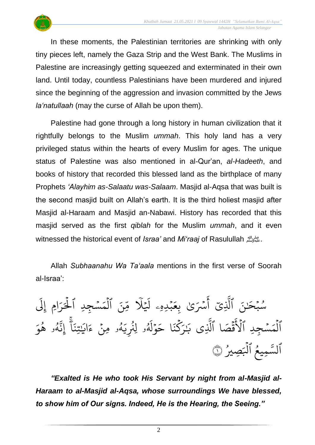

In these moments, the Palestinian territories are shrinking with only tiny pieces left, namely the Gaza Strip and the West Bank. The Muslims in Palestine are increasingly getting squeezed and exterminated in their own land. Until today, countless Palestinians have been murdered and injured since the beginning of the aggression and invasion committed by the Jews *la'natullaah* (may the curse of Allah be upon them).

Palestine had gone through a long history in human civilization that it rightfully belongs to the Muslim *ummah*. This holy land has a very privileged status within the hearts of every Muslim for ages. The unique status of Palestine was also mentioned in al-Qur'an, *al-Hadeeth*, and books of history that recorded this blessed land as the birthplace of many Prophets *'Alayhim as-Salaatu was-Salaam*. Masjid al-Aqsa that was built is the second masjid built on Allah's earth. It is the third holiest masjid after Masjid al-Haraam and Masjid an-Nabawi. History has recorded that this masjid served as the first *qiblah* for the Muslim *ummah*, and it even witnessed the historical event of *Israa'* and *Mi'raaj* of Rasulullah صلى الله عليه وسلم.

Allah *Subhaanahu Wa Ta'aala* mentions in the first verse of Soorah al-Israa':

ا اِم إَِل ا ر<br>ر ا<br>د ہ<br>ا سُجِدِ الحَ  $\ddot{\phantom{0}}$ بە ِيّنَ ٱلْمَ ہ<br>1 ∝<br>مر .<br>آ  $\lambda$  $\overline{a}$ ا بُدِهِۦ لَيۡ  $\ddot{\phantom{0}}$ ا سُرَىٰ بِ**عَ** اند أ ِي ا<br>ا سُبۡحَـٰنَ ٱلَّذِ  $\ddot{\phantom{0}}$ و<br>. و<br>لم و<br>لم بة إِن ج<br>آ ا ا تِن َٰ ار اي بر ء ۥ ِمن ه ؚ<br>ٛ و<br>لم ا و لِنُرِيَ ُو<br>په و<br>مم ا وْلُهُ ؚ<br>ٛ ا ا ح ا ن ك ر<br>م ا<br>م ر<br>ر َٰ ا ِي ب ا<br>ا قَصَا ٱلَّذِ  $\ddot{\ddot{\Omega}}$  $\tilde{\epsilon}$ سُجِدِ الاَ  $\ddot{\phantom{0}}$ ا الْمَسْجِدِ الْاقْصَا الَّذِى بَـٰرَكْنَا حَوْلُهُو لِنُرِيَّهُو مِنْ ءَايَتِنَا إِنَّهُو ہ<br>آ بر هْوَ و<br>ج و<br>ا ِصِيرُ ا ہ<br>ا ٱلسَّمِيعُ ٱلْبَصِيرُ ۞ و<br>و

*"Exalted is He who took His Servant by night from al-Masjid al-Haraam to al-Masjid al-Aqsa, whose surroundings We have blessed, to show him of Our signs. Indeed, He is the Hearing, the Seeing."*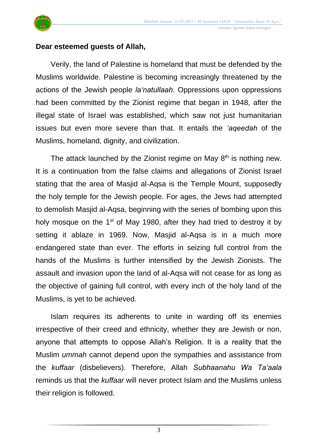

#### **Dear esteemed guests of Allah,**

Verily, the land of Palestine is homeland that must be defended by the Muslims worldwide. Palestine is becoming increasingly threatened by the actions of the Jewish people *la'natullaah*. Oppressions upon oppressions had been committed by the Zionist regime that began in 1948, after the illegal state of Israel was established, which saw not just humanitarian issues but even more severe than that. It entails the *'aqeedah* of the Muslims, homeland, dignity, and civilization.

The attack launched by the Zionist regime on May  $8<sup>th</sup>$  is nothing new. It is a continuation from the false claims and allegations of Zionist Israel stating that the area of Masjid al-Aqsa is the Temple Mount, supposedly the holy temple for the Jewish people. For ages, the Jews had attempted to demolish Masjid al-Aqsa, beginning with the series of bombing upon this holy mosque on the  $1<sup>st</sup>$  of May 1980, after they had tried to destroy it by setting it ablaze in 1969. Now, Masjid al-Aqsa is in a much more endangered state than ever. The efforts in seizing full control from the hands of the Muslims is further intensified by the Jewish Zionists. The assault and invasion upon the land of al-Aqsa will not cease for as long as the objective of gaining full control, with every inch of the holy land of the Muslims, is yet to be achieved.

Islam requires its adherents to unite in warding off its enemies irrespective of their creed and ethnicity, whether they are Jewish or non, anyone that attempts to oppose Allah's Religion. It is a reality that the Muslim *ummah* cannot depend upon the sympathies and assistance from the *kuffaar* (disbelievers). Therefore, Allah *Subhaanahu Wa Ta'aala* reminds us that the *kuffaar* will never protect Islam and the Muslims unless their religion is followed.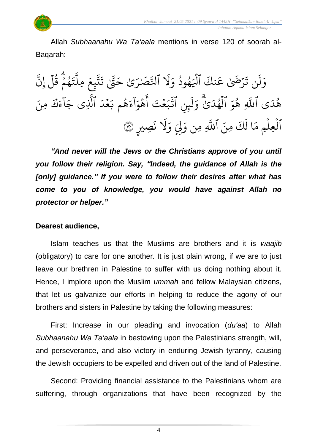

 *Jabatan Agama Islam Selangor*

Allah *Subhaanahu Wa Ta'aala* mentions in verse 120 of soorah al-Baqarah:

بة<br>ج هُمۡ قُلۡ إِنّ ہ<br>آ و<br>په ة<br>م و<br>م ا ت ب<br>ا ِمل ار بِعُ ب<br>مو تة<br>تم ا ت ان<br>\*\* ؾٞڹ تَصَرَىٰ حَ َٰ ٱنل ا َل ار مُودٌ وَ و<br>د و<br>م ا ہ<br>ا ٱَل نكا ا رْضَىٰ عَـ ا ن ت ا ل ار و ءَ<br>ڪ مِنَ ك ا ء .<br>آ ا ار ِي ج ا<br>آبا الَّذِ ا مُدَ  $\frac{1}{2}$ ار هُم بَ و<br>ج ا ء ۔<br>مرا ا هٔوَ ہ<br>م ا<br>ع أ و<br>محت  $\frac{1}{2}$ ار ب ان<br>بو ينِ اڌّ ا ل بر ت<br>تك وَ الهُدَ و<br>م ہ<br>ا بر ِ هُوَ و<br>فر ا<br>آ ى اللَّهِ ا هٔدَ و<br>م ري ٍ ِص ا ن ا َل ار وَلِّيِّ وَ ِ ِمن و بر<br>ا لَكَ مِنَ ٱللَّهِ ا ل ا العِلْمِ مَا لَكَ مِنَ اللَّهِ مِن وَلِيٍّ وَلَا نَصِيرِ ۞ ہ<br>1 ہ<br>1

*"And never will the Jews or the Christians approve of you until you follow their religion. Say, "Indeed, the guidance of Allah is the [only] guidance." If you were to follow their desires after what has come to you of knowledge, you would have against Allah no protector or helper."*

#### **Dearest audience,**

Islam teaches us that the Muslims are brothers and it is *waajib* (obligatory) to care for one another. It is just plain wrong, if we are to just leave our brethren in Palestine to suffer with us doing nothing about it. Hence, I implore upon the Muslim *ummah* and fellow Malaysian citizens, that let us galvanize our efforts in helping to reduce the agony of our brothers and sisters in Palestine by taking the following measures:

First: Increase in our pleading and invocation (*du'aa*) to Allah *Subhaanahu Wa Ta'aala* in bestowing upon the Palestinians strength, will, and perseverance, and also victory in enduring Jewish tyranny, causing the Jewish occupiers to be expelled and driven out of the land of Palestine.

Second: Providing financial assistance to the Palestinians whom are suffering, through organizations that have been recognized by the

4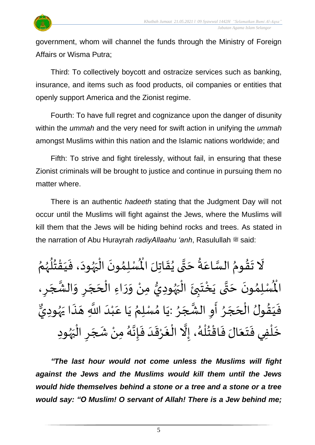government, whom will channel the funds through the Ministry of Foreign Affairs or Wisma Putra;

Third: To collectively boycott and ostracize services such as banking, insurance, and items such as food products, oil companies or entities that openly support America and the Zionist regime.

Fourth: To have full regret and cognizance upon the danger of disunity within the *ummah* and the very need for swift action in unifying the *ummah* amongst Muslims within this nation and the Islamic nations worldwide; and

Fifth: To strive and fight tirelessly, without fail, in ensuring that these Zionist criminals will be brought to justice and continue in pursuing them no matter where.

There is an authentic *hadeeth* stating that the Judgment Day will not occur until the Muslims will fight against the Jews, where the Muslims will kill them that the Jews will be hiding behind rocks and trees. As stated in the narration of Abu Hurayrah *radiyAllaahu 'anh*, Rasulullah  $\equiv$  said:

 $\tilde{\mathbf{r}}$ لَا تَقُومُ السَّاعَةُ حَتَّى يُقَاتِلَ الْمُسْلِمُونَ  $\frac{1}{2}$  $\frac{9}{4}$  $\frac{1}{2}$ و<br>م•ّ .<br>م ا<br>ما ن<br>\*  $\ddot{\phantom{0}}$  $\frac{1}{2}$ ُ<br>پ  $\ddot{\phantom{0}}$ ๋<br>ጎ الْمُسْلِمُونَ الْيَهُودَ، فَيَقْتُلُهُمُ  $\ddot{\phantom{0}}$ ر<br>ر<br>ر  $\overline{\phantom{a}}$ ֦֧֦֧֦֦֧֦֧֦֧֦֧֝֟֓֓֟֓֓֟֓֟֓֟֓֓֟֓֟֓֟֓֟֓֟֓֟֓֟֓֟֓֟֓֟֓֕֓֟֓֟֓<br>֧֧֧֧֧֧֧֧֪֝֩֩֩֩֓֟֓֟֓֟֓֟֓֟֓֟֓֟֓֟֓֟֓֟֓֟֓֝֟֩֩֩ ፟<br>፞ ر<br>ر<br>ر ُ<br>ا }<br>፟ ֦֧֦֧֦֧֝<u>֦</u>  $\frac{1}{1}$  $\ddot{\cdot}$  $\ddot{\phantom{0}}$ ِ<br>لْمُسْلِمُونَ ُ<br>አ الْمُسْلِمُونَ حَتَّى يَخْتَبِئَ الْيَهُودِيُّ مِنْ وَرَاءِ الْحَجَرِ وَالشَّجَرِ، لة<br>\* .<br>-<br>- $\frac{1}{2}$  $\frac{1}{2}$  $\ddot{\phantom{0}}$ ْ  $\ddot{\phantom{0}}$ ر<br>ر<br>ر  $\overline{\phantom{a}}$ ٔ ْ  $\frac{1}{2}$  $\tilde{\cdot}$ <u>ر</u>  $\overline{\phantom{a}}$  $\overline{\phantom{a}}$ ֦֧֦֧֦֧֦֧֦֧֦֧֧֝֝֜֓֓<u>֚</u> <u>ر</u>  $\overline{\phantom{a}}$ ن<br>م  $\tilde{\cdot}$ فَيَقُولُ الْحَجَرُ أَوِ الشَّجَرُ :يَا مُسْلِمُ يَا عَبْدَ اللَّهِ هَذَا يَهُودِيٌّ  $\frac{9}{4}$ َ  $\frac{1}{2}$ و<br>و  $\overline{\phantom{a}}$  $\overline{\phantom{a}}$ ا<br>أ **ہ**  $\frac{1}{2}$ **ہ**<br>•  $\overline{\phantom{a}}$ ا<br>ق  $\ddot{\phantom{0}}$ ፟<br>፞ ።<br>ይ<br>ሳ  $\ddot{\phantom{0}}$  $\frac{1}{1}$ ֦֧֦֦֧֝<u>֚</u> .<br>م ان<br>ا  $\ddot{\cdot}$  $\tilde{\phantom{a}}$ ر<br>ر<br>ر  $\overline{\phantom{a}}$ خَلْفِي فَتَعَالَ فَاقْتُلْهُ، إِلَّا الْغَرْقَدَ فَإِنَّهُ مِنْ شَجَرِ الْيَهُودِ ٔ<br>ا  $\ddot{\phantom{0}}$ َ  $\ddot{\ }$  $\frac{1}{2}$ و<br>گ ់<br>ព្ م<br>پو ْ<br>د  $\frac{1}{2}$ ا<br>اس<br>ا  $\frac{1}{1}$  $\frac{1}{2}$ ْ  $\ddot{\phantom{0}}$ ֦֧֦֧֦֧֦֧֦֟֜֜֜֜֜֜֜<br>֧ׅׅ֝֜֜֜֜֜֜֜֜֜֜֜֝֜֜֝֜<del>֟</del> و<br>گ ا<br>تا<br>• |<br>;<br>; ا<br>په ْ  $\overline{\phantom{a}}$  $\overline{\phantom{a}}$  $\overline{\phantom{a}}$ ֦֧<u>֦</u>

*"The last hour would not come unless the Muslims will fight against the Jews and the Muslims would kill them until the Jews would hide themselves behind a stone or a tree and a stone or a tree would say: "O Muslim! O servant of Allah! There is a Jew behind me;* 

5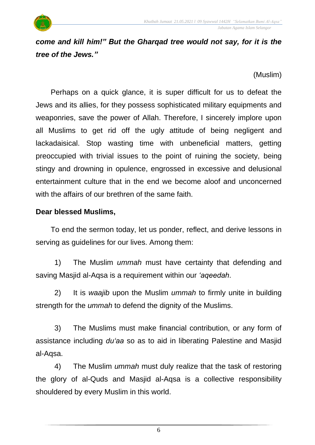## *come and kill him!" But the Gharqad tree would not say, for it is the tree of the Jews."*

(Muslim)

Perhaps on a quick glance, it is super difficult for us to defeat the Jews and its allies, for they possess sophisticated military equipments and weaponries, save the power of Allah. Therefore, I sincerely implore upon all Muslims to get rid off the ugly attitude of being negligent and lackadaisical. Stop wasting time with unbeneficial matters, getting preoccupied with trivial issues to the point of ruining the society, being stingy and drowning in opulence, engrossed in excessive and delusional entertainment culture that in the end we become aloof and unconcerned with the affairs of our brethren of the same faith.

#### **Dear blessed Muslims,**

To end the sermon today, let us ponder, reflect, and derive lessons in serving as guidelines for our lives. Among them:

1) The Muslim *ummah* must have certainty that defending and saving Masjid al-Aqsa is a requirement within our *'aqeedah*.

2) It is *waajib* upon the Muslim *ummah* to firmly unite in building strength for the *ummah* to defend the dignity of the Muslims.

3) The Muslims must make financial contribution, or any form of assistance including *du'aa* so as to aid in liberating Palestine and Masjid al-Aqsa.

4) The Muslim *ummah* must duly realize that the task of restoring the glory of al-Quds and Masjid al-Aqsa is a collective responsibility shouldered by every Muslim in this world.

6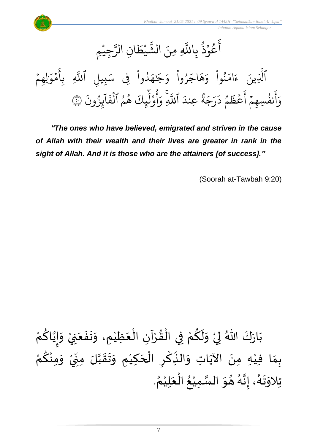



#### جِيْمِ **ٔ** بر<br>م ِن الر ا ار ط ي **ٔ** بر<br>په الش ِ ِمنا ا عُوْذُ بِاللَّهِ ُو<br>په **ٔ** و<br>م المح أ

 $\frac{1}{2}$ لِهِمۡ ؚ<br>ا ار مَوَّز  $\frac{1}{2}$ ا<br>ع ِأ ِ ب بہ<br>ا بِيلِ اللَّهِ ار ِِف س وا د ْ مُ<br>ا و<br>ا بر .<br>وُجْنَهَ َٰ و وا ر ْ مُ ُو ا اج بر ه ار نُوا وَّ **ٔ** ُو<br>و بر ام ا ء ِينا ا<br>ا الَّذِ ِ<br>ئا آ<br>آ ل و ْ بِي و<br>م أ بر ِٞۚ و ا<br>آ اللَّهِ ا ِعند  $\ddot{\mathbf{u}}$ ة ا ج ا .<br>ز ا مُ دَ و ا عۡظَ ر<br>م المج أ  $\frac{1}{2}$ نفَسِهِمۡ و<br>د اند أ ا<br>م و بر يِزُونَ ُو  $\tilde{1}$ ا ا لَكَ هُمُ ٱلۡفَآيِزُونَ ۞ ہ<br>1 و و<br>ج

*"The ones who have believed, emigrated and striven in the cause of Allah with their wealth and their lives are greater in rank in the sight of Allah. And it is those who are the attainers [of success]."*

(Soorah at-Tawbah 9:20)

ْ اللّهُ لِيْ وَلَكُمْ فِي الْقُرْآنِ الْعَظِيْمِ، وَنَفَعَنِيْ َ  $\ddot{\phantom{0}}$  $\ddot{\phantom{0}}$  $\tilde{\cdot}$ ْ  $\frac{1}{2}$ ֦֧֦֧֦֧֦֧֦֜֜֜֜֜֜֜֜<br>֧ׅׅ֝֜֜֜֜֜֜֜֜֜֜֜֝֜֜֝֜<del>֟</del> ْ  $\frac{9}{4}$ ֦֧֦֧֦֧֦֧֦֧֦֜֜֜֜֜֜֜֜<br>֧ׅׅ֝֜֜֜֜֜֜֜֜֜֜֝֜֜֝֜<del>֛</del> ْ <u>ہ</u>  $\tilde{\mathbf{r}}$  $\frac{1}{2}$ ْ ء<br>وَ الأو بَارَكَ اللّهُ لِيْ وَلَكُمْ فِي الْقُرْآنِ الْعَظِيْمِ، وَنَفَعَنِيْ وَإِيَّاكُمْ  $\frac{1}{2}$  $\ddot{\phantom{0}}$ ْ <u>ل</u> ن<br>•  $\sum_{i=1}^n$  $\frac{1}{2}$ ْ بِمَا فِيْهِ مِنَ الآيَاتِ وَالنِّكْرِ الْحَكِيْمِ وَتَقَبَّلَ مِنِّيْ وَمِنْكُمْ <u>ل</u> ْ  $\tilde{\cdot}$ ْ  $\frac{1}{2}$  $\sum$ ن<br>ا  $\frac{1}{2}$  $\frac{1}{2}$  $\tilde{\cdot}$ ់<br>រ  $\overline{\phantom{a}}$ ֝֟֝֟֝֝<br>֧֝֟֝֜֝֟֓֟ <u>ر</u> ؚ<br>م  $\frac{1}{2}$ ์ $\frac{1}{2}$ ِ<br>پُ  $\ddot{\phantom{0}}$ ់<br>រ  $\frac{1}{2}$ . ़<br>१ تِلاوَتَهُ، إِنَّهُ هُوَ السَّمِيْعُ الْعَلِيْمُ ْ َ ֦֧֦֧֦֧֦֧֦֧֦֧֦֧֜֜֜֜֓֓֟֓֟֓֜֜֜֜֜֜<br>֧֝֜֜**֦** ُ ْ ا<br>ما  $\frac{1}{2}$  $\frac{1}{2}$ و<br>گ لة<br>•  $\frac{1}{2}$ .<br>ر<br>ا  $\ddot{\ }$  $\frac{1}{2}$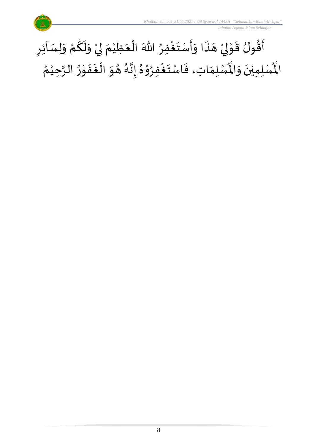*Jabatan Agama Islam Selangor*



#### أَقُولُ قَوْلِيْ هَذَا وَأَسْتَغْفِرُ اللّٰهَ الْعَظِيْمَ لِيْ وَلَكُمْ وَلِسَاْئِرِ ر<br>پيد ົ $\vdots$ <u>ر</u>  $\tilde{\cdot}$ ْ <u>و</u>  $\tilde{\mathbf{r}}$  $\tilde{\cdot}$ ْ إ  $\frac{1}{2}$ ْ َ ֦֧֦֧֦֧֦֧֦֧֦֧֦֧֜֜֜֜֓֓<br>֧֝֜֜֜֜֜֜֜֜֜֜֜֜֜֞֟ ∫<br>∕ ِ<br>وفيات  $\ddot{\phantom{0}}$  $\frac{1}{2}$  $\frac{1}{2}$  $\ddot{\cdot}$  $\overline{a}$ ْ لمح ֦֧֝֝<br>**֧**  $\frac{1}{2}$ ُ رِبِ<br>لَمُسْلِمَاتِ، فَاسْتَغْفِرُوْهُ إِنَّهُ هُوَ الْغَفُوْرُ الرَّحِيْمُ ْ اتا<br>ا  $\frac{1}{2}$ ֦֧֦֧֦֝  $\frac{1}{2}$ .<br>. ر<br>ف  $\frac{1}{2}$  $\frac{1}{2}$ و<br>گ ن<br>•<br>•  $\frac{1}{2}$  $^{\circ}$ י<br>י  $\frac{1}{2}$ ِ<br>وفيات  $\ddot{\ }$  $\ddot{\cdot}$  $\frac{1}{\lambda}$ ر۔<br>لْمُسْلِمِيْنَ وَالْمُ  $\frac{1}{2}$  $\ddot{\phantom{0}}$ ់<br>រ المأ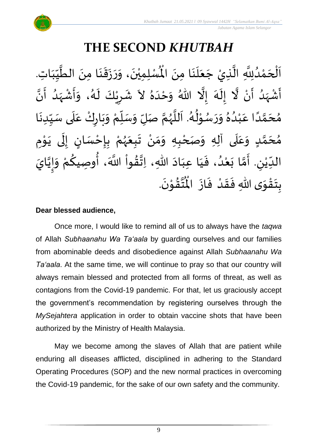# **THE SECOND** *KHUTBAH*

 $\frac{1}{2}$ لْمُسْلِمِيْنَ، وَرَزَقَ  $\ddot{\cdot}$  $\frac{1}{2}$  $\frac{1}{2}$  $\ddot{\phantom{0}}$ ់<br>រ اَلْحَمْدُلِلَّهِ الَّذِيْ جَعَلَنَا مِنَ الْمُسْلِمِيْنَ، وَرَزَقَنَا مِنَ الطَّيِّبَاتِ.  $\ddot{\phantom{0}}$  $\ddot{\phantom{0}}$  $\overline{\phantom{a}}$ َ  $\ddot{\phantom{0}}$ ا<br>ا ان<br>ا و<br>و **ٔ**  $\overline{\phantom{a}}$ ֦֧֦֧֦֧֦֧֦֧֦֦֦֜֜֜֓֓֟֓֟֓֟֓֟֓֟֓֟֓֟֓֕֟֓֟֓֕֟֓<br>֧֧֧֝֩֩֩֩֓֓֩֩֩֓֓ َ  $\frac{1}{1}$  $\frac{1}{2}$  $\frac{1}{2}$ ان<br>ا  $\ddot{\phantom{0}}$  $\ddot{\phantom{0}}$ ا<br>ا أَشْهَدُ أَنْ لَّا إِلَهَ إِلَّا اللّهُ وَحْدَهُ لاَ شَرِيْكَ لَهُ، وَأَشْهَدُ أَنَّ ْ ر<br>پنج و<br>ا ر<br>زن ْ ِ<br>پ ا<br>الم ر<br>ح  $\tilde{\cdot}$  $\frac{1}{2}$ ै<br>जन्म  $\ddot{\phantom{0}}$  $\frac{1}{2}$ ِ<br>ا  $\tilde{\cdot}$ ن<br>•<br>• -<br>پ بر<br>و  $\frac{1}{2}$ ْ  $\frac{1}{2}$  $\tilde{\cdot}$ ء<br>لم  $\tilde{\mathbf{r}}$ ْ <u>ر</u>  $\frac{1}{2}$ مُحَمَّدًا عَبْدُهُ وَرَسُوْلُهُ. اَللَّهُمَّ صَلِّ وَسَلِّمْ وَبَارِكْ عَلَى سَبِّدِنَا  $\ddot{\phantom{0}}$  $\frac{1}{1}$  $\frac{1}{2}$ `<br>أ  $\frac{1}{2}$ ْ  $\ddot{\phantom{0}}$  $\frac{1}{2}$ ៝<br>៝ ์<br>ผู้  $\overline{r}$  $\frac{1}{2}$ ن<br>م ر<br>ر<br>ر ا<br>آ َ و<br>گ  $\frac{1}{2}$ ֦֧֝֝<br>**֧** ر<br>م  $\frac{1}{2}$  $\frac{1}{2}$  $^{\circ}$ و<br>و ْ .<br>م ً<br>أ ت<br>م  $\overline{\phantom{a}}$  $\frac{1}{2}$ مُحَمَّدٍ وَعَلَى آلِهِ وَصَحْبِهِ وَمَنْ تَبِعَهُمْ بِإِحْسَانٍ إِلَى يَوْمِ <u>ل</u>ے ت<br>م  $\overline{\phantom{a}}$ و<br>م  $\overline{\mathbf{r}}$ ِّ  $\tilde{\cdot}$ ֦֧֦֧<u>֦</u> <u>ر</u><br>-ْ و<br>ر  $\frac{1}{2}$  $\frac{1}{2}$ ْ  $\frac{1}{2}$ ์ $\tilde{\cdot}$ ֦֧<u>֚</u> י<br>י ँ<br>द  $\ddot{\phantom{0}}$ ل  $\frac{1}{2}$ )<br>=<br>= الدِّيْنِ. أَمَّا بَعْدُ، فَيَا عِبَادَ اللّهِ، اِتَّقُواْ اللَّهَ، أُوصِيكُمْ وَإِيَّايَ ن<br>•<br>•  $\frac{1}{2}$  $\frac{1}{2}$ .<br>م <u>ل</u> ُ<br>پیدائش<br>نیا ٔ<br>ا ′<br>مو ن<br>\*  $\sim$ َ َ  $\frac{1}{2}$ ٍ<br>'' ំ<br>រ  $\ddot{\ }$ ت<br>م  $\frac{1}{2}$ ِ<br>لیا ّٰ<br>ْ  $\frac{1}{\sqrt{2}}$ .  $\ddot{\phantom{0}}$ تقوْنَ ֦֧֝֝<br>**֧**  $\frac{9}{4}$ ا<br>استقطا<br>جو ُ<br>مو بِتَقْوَى اللّهِ فَقَدْ فَازَ الْمُ  $\ddot{\cdot}$  $\frac{1}{2}$ ْ  $\frac{1}{2}$  $\frac{1}{2}$  $\frac{1}{2}$ ֝֝֝֝֝<br>**֧**֦֦֦֝֟֟֘֟֘֝֟֘֝֟  $\ddot{\ }$ <u>ر</u>

#### **Dear blessed audience,**

Once more, I would like to remind all of us to always have the *taqwa* of Allah *Subhaanahu Wa Ta'aala* by guarding ourselves and our families from abominable deeds and disobedience against Allah *Subhaanahu Wa Ta'aala*. At the same time, we will continue to pray so that our country will always remain blessed and protected from all forms of threat, as well as contagions from the Covid-19 pandemic. For that, let us graciously accept the government's recommendation by registering ourselves through the *MySejahtera* application in order to obtain vaccine shots that have been authorized by the Ministry of Health Malaysia.

May we become among the slaves of Allah that are patient while enduring all diseases afflicted, disciplined in adhering to the Standard Operating Procedures (SOP) and the new normal practices in overcoming the Covid-19 pandemic, for the sake of our own safety and the community.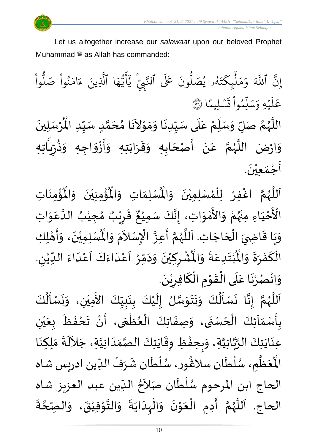Let us altogether increase our *salawaat* upon our beloved Prophet Muhammad  $\stackrel{\text{\tiny def}}{=}$  as Allah has commanded:

<u>ہ</u><br>ا وا و<br>ا نُواْ صَلُّ ْ ُ بر ام ا<br>م ء ِينا ب<br>ا ا الَّذِ بر ه و<br>د سَ<br>ڊ ا<br>ع  $\sqrt{2}$ ِ<br>د يج<br>تنجي ب<del>ن</del> .<br>ق عَلَى ٱلتَّ ون و<br>ا و<br>ن<sup>مو</sup> يُصَلُّ و<br>د و<br>لم ا ت بخ چکے<br>غ آَٰ  $\uplambda$ ا ے<br>م ار و ا<br>ک اللَّهَ بة ِن إ ا  $\frac{2}{3}$ ن*َسْ*لِيمً  $\ddot{\phantom{0}}$ الا ت **ٔ** وا ِم و ں<br>آ ل ار بر<br>سک بر يَّهِ وَ<sub>َ</sub>  $\ddot{\phantom{0}}$ ا عَلَيْهِ وَسَلِّمُواْ تَسْلِيمًا ۞ اللَّهُمَّ صَلِّ وَسَلِّمْ عَلَى سَيِّدِنَا وَمَوْلاَنَا مُحَمَّدٍ سَيِّدِ الْمُرْسَلِي ْ  $\mathbf{r}^{\circ}$ للَّهُمَّ صَلِّ وَسَلِّمْ عَلَى سَيِّدِنَا وَمَوْلاَنَا مُحَمَّدٍ سَيِّدِ الْمُرْسَلِينَ  $\frac{1}{1}$  $\frac{1}{2}$ <u>لم</u> ت<br>م  $\overline{\phantom{a}}$  $\frac{1}{2}$  $\mathbf{r}$  $\sim$ ֦֝<br>֝**֝**  $\frac{1}{2}$  $\frac{1}{2}$  $\ddot{\phantom{0}}$  $\frac{1}{1}$ سطح<br>ا .<br>م ْ .<br>"  $\overline{r}$  $\frac{1}{2}$ تا<br>اسم و<br>ر ا<br>آ  $\ddot{\phantom{0}}$ وَارْضَ اللَّهُمَّ عَنْ أَصْحَابِهِ وَقَرَابَتِهِ وَأَزْوَاجِهِ وَذُرِّيَّاتِهِ .<br>تا  $\frac{1}{2}$ ر ا<br>باد<br>•  $\tilde{\cdot}$  $\tilde{\cdot}$ ا<br>:  $\frac{1}{2}$  $\frac{1}{2}$  $\overline{\phantom{a}}$  $\frac{1}{2}$  $\frac{1}{2}$  $\frac{1}{2}$ ़<br>-<br>-ا<br>با ំ<br>• .<br>م ن<br>م  $\frac{1}{2}$ ا<br>الم  $\frac{1}{2}$  $\ddot{\phantom{0}}$ أَجْمَعِيْنَ. ់<br>(  $\frac{1}{2}$ ֦֧֦֧֦֧<u>֦</u> ।<br>न्

ؙۊؙ۠ڡؚنَاتِ  $\ddot{\phantom{0}}$ ْ<br>با ُْ ُؤْمِنِيْنَ ۖ وَالْمُ  $\tilde{\cdot}$  $\ddot{\phantom{0}}$ ْ ْ<br>بِ  $\mathbf{r}^{\circ}$ ِ<br>لْمُسْلِمَاتِ وَالْمُ  $\tilde{\cdot}$  $\frac{1}{2}$ ِ<br>اَللَّهُمَّ اغْفِرْ لِلْمُسْلِمِيْنَ وَالْمُ  $\tilde{\cdot}$  $\ddot{\phantom{0}}$ ់<br>**រ** ,<br>^ ֧֦֧֦֧֦֧֦֧֦֧֦֧֦֧֘֒<br>**֧** ِ<br>و ن<br>م ر<br>ر<br>ر ا<br>آ  $\mathbf{r}$ أُحْيَاءِ َ ֦֧֦֧<u>֦</u> ـــ<br>م<br>م الْأَحْيَاءِ مِنْهُمْ وَالأَمْوَاتِ، إِنَّكَ سَمِيْعٌ قَرِيْبٌ مُجِيْ ْ و<br>زړ ់<br>•  $\frac{1}{2}$ ່<br>ລ ں<br>ج  $\frac{1}{2}$ ْ ๋<br>ጎ ه<br>د ا ي ر ق <u>ر</u>  $\frac{1}{2}$  $\frac{1}{\sqrt{2}}$ ، إِنَّكَ سَمِيْعٌ قَرِيْبٌ مُجِيْبُ الدَّعَوَاتِ ْ ا<br>با<br>:  $\ddot{\ }$ .<br>م ات<br>ا ُ ا ِت. اجَ ح ال ِ ي اض ا ق ي ِك َ و ِل ه أ ، و ن ِ ِمي ل سْ ُْ  $\overline{\phantom{a}}$ ֦֧֦֧֦֧֦֧֦֧֧֧֧֝֝֝֜֟֓֟֓֟֓֟֓֟֓֟֓֟֓֝֟֓֟֓֟֓֟֓֟֓֟֓֟֓֝֟֓֟֓֝֬<br>**֧**  $\overline{a}$  $\frac{1}{2}$  $\ddot{\ }$ י<br>**י**  $\frac{1}{2}$  $\tilde{\cdot}$  $\ddot{\phantom{0}}$ ْ اَللَّهُمَّ أَعِزَّ الْإِسْلاَمَ وَالْمُ  $\tilde{\cdot}$ ر<br>د  $\tilde{\phantom{a}}$ ّٰ<br>أ بة —<br>ج ن<br>م ر<br>ر<br>ر ة<br>أ ر<br>آ . ِ ُشْرِكِيْنَ وَدَمِّرْ أَعْدَاءَكَ أَعْدَاءَ اللدِّيْنِ ْ  $\frac{1}{1}$  $\frac{1}{2}$ ا<br>ا<br>ا .<br>م ً<br>أ َ<br>و  $\frac{1}{2}$ ا<br>-<br>ا ْ<br>م  $\overline{\phantom{a}}$ ّ<br>ا<br>ا  $\frac{1}{\lambda}$  $\sim$  $\tilde{\cdot}$  $\ddot{\phantom{0}}$ ْ ِ ْ  $\ddot{\text{r}}$ ُبْتَدِعَةً وَالْمُ  $\tilde{\cdot}$  $\ddot{\phantom{0}}$ .<br>م  $\ddot{\ }$ ٝ<br>ْ  $\ddot{\bm{r}}$ الْكَفَرَةَ وَالْمُ ์ $\tilde{\cdot}$  $\frac{1}{2}$  $\frac{1}{2}$  $\frac{1}{2}$ َ بــ<br>أ .  $\ddot{\phantom{0}}$ وَانْصُرْنَا عَلَى الْقَوْمِ الْكَافِرِيْنَ ٝ<br>ؙ ِ ์<br>-<br>-`<br>ا **→** ֦֦֝<br>**֝**  $\frac{1}{2}$ ٝ<br>ؙ  $\mathbf{r}$ .<br>م  $\ddot{\phantom{0}}$ ْ **ہ** ْ  $\frac{1}{2}$  $\frac{1}{2}$ َ<br>ع  $\frac{1}{2}$ 

 $\frac{1}{2}$ ِ<br>اَللَّهُمَّ إِنَّا نَسْأَلُكَ وَنَتَوَسَّلُ إِلَيْكَ بِنَبِيِّكَ الأَمِيْنِ، وَنَسْأَلُكَ ن<br>م ر<br>ر ا<br>آ ्<br>न ُمُ<br>ا  $\ddot{\phantom{0}}$  $\frac{1}{2}$ ْ  $\frac{1}{1}$  $\frac{1}{2}$  $\frac{1}{2}$  $\ddot{\phantom{0}}$ <u>ر</u><br>: ំ<br>រ  $\tilde{\mathbf{r}}$  $\frac{1}{2}$ ا<br>ما  $\frac{1}{2}$  $\ddot{\phantom{0}}$  $\ddot{\phantom{0}}$  $\frac{1}{2}$ ہ<br>پ  $\ddot{\phantom{0}}$ لة<br>م .<br>بِأَسْمَآئِكَ الْحُسْنَى، وَصِفَاتِكَ الْعُظُمَى، أَنْ تَحْفَظَ بِعَيْنِ ْ ي  $\frac{1}{2}$  $\frac{1}{\sqrt{2}}$  $\ddot{\cdot}$  $\frac{1}{2}$ ْ  $\sum_{i=1}^{n}$ ์<br>-<br>ก ֦֧֦֧֦֧֦֧֦֧֦֧֦֧֦֧֧֦֧֦֧֝֝֟֓֓֜֓֓<br>**֧**  $\frac{1}{2}$ ֦֧֦֧֦֧֦֧֦֧֦֧֦֧֟֜֜֜֓֓֟֓<br>֧ׅׅ֝֜֜֜֜֜֜֜֜֜֜֜֜֜֝֜֜֬֟  $\ddot{\cdot}$  $\frac{1}{2}$  $\ddot{\phantom{0}}$ و<br>م ْ  $\frac{1}{2}$  $\frac{1}{2}$ <u>ر</u>  $\ddot{\cdot}$ ِ<br>عِنَايَتِكَ الرَّبَّانِيَّةِ، وَبِحِفْظِ وِقَايَتِكَ الصَّمَدَانِيَّةِ، جَلاَلَةَ مَلِكِنَا ِ<br>الم  $\sim$ اتا<br>ا  $\frac{1}{1}$  $\frac{1}{\sqrt{2}}$ ات<br>در  $\ddot{\phantom{0}}$  $\frac{1}{2}$ ້<br>:  $\frac{1}{2}$  $\frac{1}{2}$ اتا<br>ا ن<br>م<br>۱ انہ<br>م  $\ddot{\phantom{0}}$  $\ddot{\phantom{0}}$  $\ddot{\phantom{0}}$  $\frac{1}{2}$ ر<br>م ِم، س ظ ع ر<br>آباد  $\frac{1}{2}$ ر<br>مو الْمُعَظَّمِ، سُلْطَان سلَاغُور، سُلْطَان شَرَفُ الدِّين ادريس شاه  $\frac{1}{\sqrt{2}}$ ُ  $\mathbf{r}$ ر<br>م ֦֧֦֧֦ ٍ<br>م )<br>፟ ر<br>م ة<br>أ الحاج ابن المرحوم سُلْطَان صَلاَحُ الدِّين عبد العزيز شاه  $\frac{1}{2}$ ُ  $\sim$  $\ddot{ }$ ا<br>ا و<br>ر  $\ddot{\cdot}$ الحاج. اَللَّهُمَّ أَدِمِ الْعَوْنَ وَالْبِدَايَةَ وَالتَّوْفِيْقَ، وَالصِّحَّةَ ة<br>م  $\tilde{\cdot}$  $\ddot{\phantom{0}}$ ْ ْ ا<br>المعد  $\tilde{\cdot}$  $\ddot{\cdot}$  $\ddot{\phantom{0}}$ ا<br>ا ้<br>≀  $\tilde{\cdot}$  $\ddot{\phantom{0}}$ ֦֦֝<br>**֝**  $\frac{1}{2}$ ْ ।<br>∕  $\frac{1}{2}$ ا<br>مح و<br>ر<br>ر ا<br>آ ،<br>آ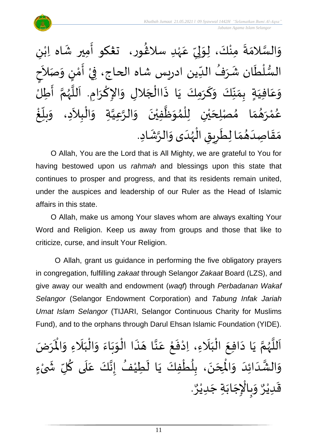

وَالسَّلامَةَ مِنْكَ، لِوَلِيِّ عَہْدِ سلاڠُور، تعْكو أَمِير شَاه اِبْنِ  $\mathbf{r}$  $\frac{1}{2}$ }<br>፟**፟** ٝ<br>م .<br>م ม<br>"  $\frac{1}{2}$ ل  $\ddot{\ }$ ْ  $\frac{1}{2}$  $\frac{1}{2}$ ا<br>ما  $\frac{1}{2}$ ْ ।<br>इ السُّلْطَان شَرَفُ الدِّين ادريس شاه الحاج، فِيْ أَمْنٍ وَصَلاَحٍ ्<br>र  $\frac{1}{2}$ )<br>=<br>= י<br>נ  $\frac{1}{2}$ ْ  $\frac{1}{2}$ ُ ِرِ ।<br>€ ່<br>ເ ر<br>ر<br>ر وَعَافِيَةٍ بِمَنَّكَ وَكَرَمِكَ يَا ذَاالْجَلالِ وَالإِكْرَامِ. اَللَّهُمَّ أَطِلُ ا<br>:<br>: יי<br>ש َ<br>وفر<br>وفر سم<br>تار<br>ا َ ।<br>।<br>। ا<br>م  $\frac{1}{2}$  $\overline{\phantom{a}}$ ا<br>أ َ.<br>اجراء  $\ddot{\ }$ َ  $\frac{1}{2}$  $\frac{1}{2}$  $\frac{1}{2}$  $\frac{1}{2}$  $\sum_{i=1}^{n}$ َ ِ<br>م  $\frac{1}{2}$ ້<br>: غ ر<br>ا  $\frac{1}{2}$ بلّ  $\tilde{\cdot}$ ِد، و  $\sim$ ِال بد ֦֧֦֧֦֧֦֧֦֧֦֧֧֦֧֧֦֧֝֝֜֓֓֜֜֓֟֓<br>**֡** ال  $\tilde{\cdot}$ ِ<br>ا مُصْلِحَيْنِ لِلْمُوَظَّفِيْنَ وَالرَّعِيَّةِ وَ ا<br>ا ان<br>م ์  $\ddot{\phantom{0}}$ ْ ا<br>ا  $\frac{1}{2}$ ,<br>ለ ֦֧֦֧֦ ْ ي  $\overline{\phantom{a}}$  $\frac{1}{2}$  $\frac{1}{2}$ م بر<br>پھ و<br>په رَ ់<br>? ه<br>لم و<br>م و<br>ڪ  $\frac{1}{\epsilon}$ مَقَاصِدَهُمَا لِطَرِيقِ الْهُدَى وَالرَّشَادِ.  $\frac{1}{2}$  $\frac{1}{2}$  $\frac{1}{1}$  $\frac{1}{2}$  $\frac{1}{2}$ ្រ  $\frac{1}{2}$ م<br>م ر<br>ر<br>ر ֦֧֦֧֦֧֦֧֦֧֦֧֦֧֜֜֜֜֓֓<br>**֡**  $\ddot{\bm{s}}$ <u>ر</u>

O Allah, You are the Lord that is All Mighty, we are grateful to You for having bestowed upon us *rahmah* and blessings upon this state that continues to prosper and progress, and that its residents remain united, under the auspices and leadership of our Ruler as the Head of Islamic affairs in this state.

O Allah, make us among Your slaves whom are always exalting Your Word and Religion. Keep us away from groups and those that like to criticize, curse, and insult Your Religion.

O Allah, grant us guidance in performing the five obligatory prayers in congregation, fulfilling *zakaat* through Selangor *Zakaat* Board (LZS), and give away our wealth and endowment (*waqf*) through *Perbadanan Wakaf Selangor* (Selangor Endowment Corporation) and *Tabung Infak Jariah Umat Islam Selangor* (TIJARI, Selangor Continuous Charity for Muslims Fund), and to the orphans through Darul Ehsan Islamic Foundation (YIDE).

انا<br>م اَللَّهُمَّ يَا دَافِعَ الْبَلَاءِ، اِدْفَعْ عَنَّا هَذَا الْوَبَاءَ وَالْبَلَاءِ وَالْمَرَ ر<br>ر ا<br>آ  $\mathbf{r}$  $\hat{\mathbf{r}}$ يَا دَافِعَ الْبَلَاءِ، اِدْفَعْ عَنَّا هَذَا الْوَبَاءَ وَالْبَلَاءِ وَالْمَرَضَ  $\frac{1}{2}$ ً<br>ن  $\frac{1}{1}$ ْ  $\tilde{\cdot}$  $\frac{1}{2}$  $\ddot{\phantom{0}}$  $\ddot{\ }$ ْ  $\ddot{\phantom{0}}$  $\tilde{\phantom{a}}$ اتا<br>ج .<br>م ֦֧<u>֦</u>  $\ddot{\cdot}$ ْ ً<br>ن َ ֦֧֦֧֦֧֦֧֦֧֦֜֜֜֜֜֜֜<br>֧ׅׅׅ֛֝֜֜֜֜֜֜֜֜֜֜֜֜֝֜֜֝֜֜  $\ddot{\phantom{0}}$  $\sim$  $\ddot{\phantom{0}}$ ِ<br>وَالشَّدَائِدَ وَالْمِحَنَ، بِلُطْفِكَ يَا لَطِيْفُ إِنَّكَ عَلَى كُلِّ شَىْءٍ **∶** ْ  $\frac{1}{2}$ ُ ا<br>آ ِ<br>م ابا<br>تاریخ ।<br>-<br>-ُ  $\tilde{\mathbf{r}}$  $\ddot{\phantom{0}}$ ْ ر<br>ا <u>ر</u><br>:  $\ddot{\phantom{0}}$  $\overline{\phantom{a}}$ )<br>°  $\frac{1}{2}$  $\frac{1}{1}$  $\frac{1}{1}$ لة<br>ج  $\frac{1}{2}$ . و<br>م وَبِالْإِجَابَةِ جَدِيْرٌ ّٰ<br>∙  $\ddot{\phantom{0}}$  $\ddot{\phantom{0}}$  $\ddot{\phantom{0}}$ ֦֧֦֧֦֧֦֧֦֧֦֧֦֧֜֜֜֓֓֓<br>֧ׅׅ֜֜֜֜֜֜֜֜֜֜֜֜֜֜֜֜֬֜֜֜֬֟ ِ  $\frac{1}{2}$ و<br>م قَدِيْرٌ ْ  $\frac{1}{2}$